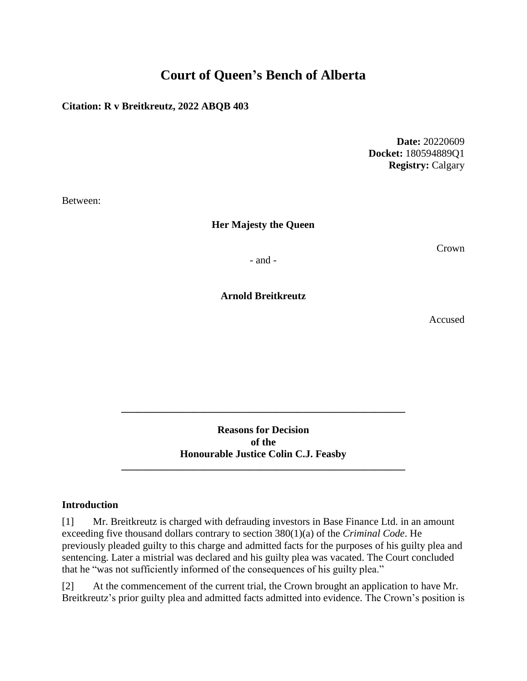# **Court of Queen's Bench of Alberta**

## **Citation: R v Breitkreutz, 2022 ABQB 403**

**Date:** 20220609 **Docket:** 180594889Q1 **Registry:** Calgary

Between:

**Her Majesty the Queen**

Crown

- and -

**Arnold Breitkreutz**

Accused

**Reasons for Decision of the Honourable Justice Colin C.J. Feasby**

**\_\_\_\_\_\_\_\_\_\_\_\_\_\_\_\_\_\_\_\_\_\_\_\_\_\_\_\_\_\_\_\_\_\_\_\_\_\_\_\_\_\_\_\_\_\_\_\_\_\_\_\_\_\_\_**

**\_\_\_\_\_\_\_\_\_\_\_\_\_\_\_\_\_\_\_\_\_\_\_\_\_\_\_\_\_\_\_\_\_\_\_\_\_\_\_\_\_\_\_\_\_\_\_\_\_\_\_\_\_\_\_**

#### **Introduction**

[1] Mr. Breitkreutz is charged with defrauding investors in Base Finance Ltd. in an amount exceeding five thousand dollars contrary to section 380(1)(a) of the *Criminal Code*. He previously pleaded guilty to this charge and admitted facts for the purposes of his guilty plea and sentencing. Later a mistrial was declared and his guilty plea was vacated. The Court concluded that he "was not sufficiently informed of the consequences of his guilty plea."

[2] At the commencement of the current trial, the Crown brought an application to have Mr. Breitkreutz's prior guilty plea and admitted facts admitted into evidence. The Crown's position is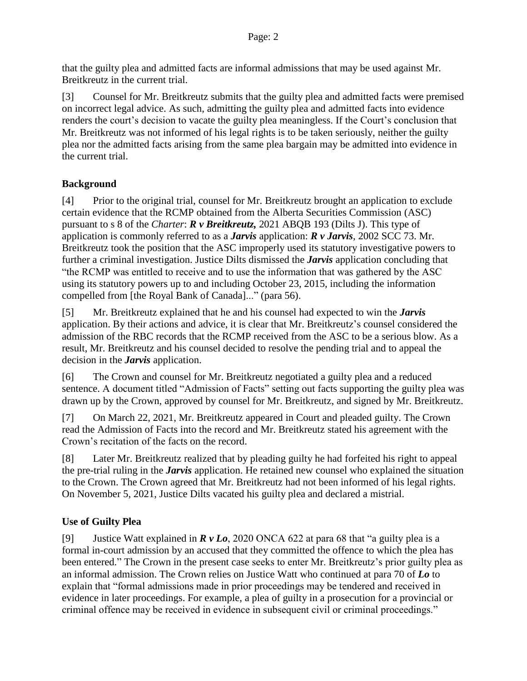that the guilty plea and admitted facts are informal admissions that may be used against Mr. Breitkreutz in the current trial.

[3] Counsel for Mr. Breitkreutz submits that the guilty plea and admitted facts were premised on incorrect legal advice. As such, admitting the guilty plea and admitted facts into evidence renders the court's decision to vacate the guilty plea meaningless. If the Court's conclusion that Mr. Breitkreutz was not informed of his legal rights is to be taken seriously, neither the guilty plea nor the admitted facts arising from the same plea bargain may be admitted into evidence in the current trial.

## **Background**

[4] Prior to the original trial, counsel for Mr. Breitkreutz brought an application to exclude certain evidence that the RCMP obtained from the Alberta Securities Commission (ASC) pursuant to s 8 of the *Charter*: *R v Breitkreutz,* 2021 ABQB 193 (Dilts J). This type of application is commonly referred to as a *Jarvis* application: *R v Jarvis*, 2002 SCC 73. Mr. Breitkreutz took the position that the ASC improperly used its statutory investigative powers to further a criminal investigation. Justice Dilts dismissed the *Jarvis* application concluding that "the RCMP was entitled to receive and to use the information that was gathered by the ASC using its statutory powers up to and including October 23, 2015, including the information compelled from [the Royal Bank of Canada]..." (para 56).

[5] Mr. Breitkreutz explained that he and his counsel had expected to win the *Jarvis* application. By their actions and advice, it is clear that Mr. Breitkreutz's counsel considered the admission of the RBC records that the RCMP received from the ASC to be a serious blow. As a result, Mr. Breitkreutz and his counsel decided to resolve the pending trial and to appeal the decision in the *Jarvis* application.

[6] The Crown and counsel for Mr. Breitkreutz negotiated a guilty plea and a reduced sentence. A document titled "Admission of Facts" setting out facts supporting the guilty plea was drawn up by the Crown, approved by counsel for Mr. Breitkreutz, and signed by Mr. Breitkreutz.

[7] On March 22, 2021, Mr. Breitkreutz appeared in Court and pleaded guilty. The Crown read the Admission of Facts into the record and Mr. Breitkreutz stated his agreement with the Crown's recitation of the facts on the record.

[8] Later Mr. Breitkreutz realized that by pleading guilty he had forfeited his right to appeal the pre-trial ruling in the *Jarvis* application. He retained new counsel who explained the situation to the Crown. The Crown agreed that Mr. Breitkreutz had not been informed of his legal rights. On November 5, 2021, Justice Dilts vacated his guilty plea and declared a mistrial.

## **Use of Guilty Plea**

[9] Justice Watt explained in *R v Lo*, 2020 ONCA 622 at para 68 that "a guilty plea is a formal in-court admission by an accused that they committed the offence to which the plea has been entered." The Crown in the present case seeks to enter Mr. Breitkreutz's prior guilty plea as an informal admission. The Crown relies on Justice Watt who continued at para 70 of *Lo* to explain that "formal admissions made in prior proceedings may be tendered and received in evidence in later proceedings. For example, a plea of guilty in a prosecution for a provincial or criminal offence may be received in evidence in subsequent civil or criminal proceedings."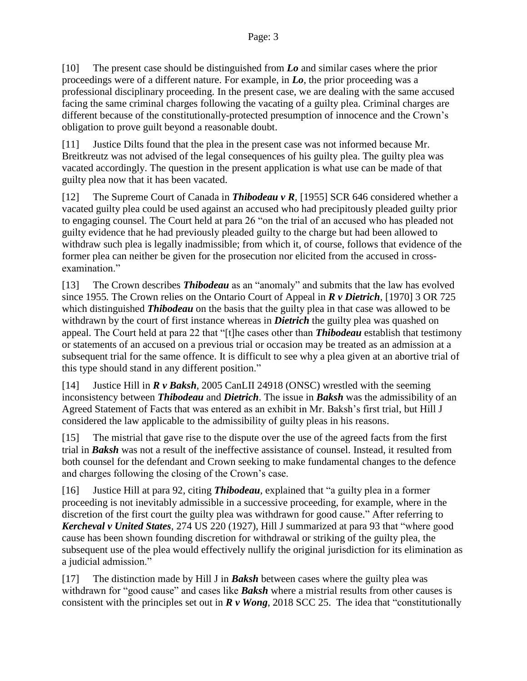[10] The present case should be distinguished from *Lo* and similar cases where the prior proceedings were of a different nature. For example, in *Lo*, the prior proceeding was a professional disciplinary proceeding. In the present case, we are dealing with the same accused facing the same criminal charges following the vacating of a guilty plea. Criminal charges are different because of the constitutionally-protected presumption of innocence and the Crown's obligation to prove guilt beyond a reasonable doubt.

[11] Justice Dilts found that the plea in the present case was not informed because Mr. Breitkreutz was not advised of the legal consequences of his guilty plea. The guilty plea was vacated accordingly. The question in the present application is what use can be made of that guilty plea now that it has been vacated.

[12] The Supreme Court of Canada in *Thibodeau v R,* [1955] SCR 646 considered whether a vacated guilty plea could be used against an accused who had precipitously pleaded guilty prior to engaging counsel. The Court held at para 26 "on the trial of an accused who has pleaded not guilty evidence that he had previously pleaded guilty to the charge but had been allowed to withdraw such plea is legally inadmissible; from which it, of course, follows that evidence of the former plea can neither be given for the prosecution nor elicited from the accused in crossexamination."

[13] The Crown describes *Thibodeau* as an "anomaly" and submits that the law has evolved since 1955*.* The Crown relies on the Ontario Court of Appeal in *R v Dietrich*, [1970] 3 OR 725 which distinguished *Thibodeau* on the basis that the guilty plea in that case was allowed to be withdrawn by the court of first instance whereas in *Dietrich* the guilty plea was quashed on appeal. The Court held at para 22 that "[t]he cases other than *Thibodeau* establish that testimony or statements of an accused on a previous trial or occasion may be treated as an admission at a subsequent trial for the same offence. It is difficult to see why a plea given at an abortive trial of this type should stand in any different position."

[14] Justice Hill in *R v Baksh*, 2005 CanLII 24918 (ONSC) wrestled with the seeming inconsistency between *Thibodeau* and *Dietrich*. The issue in *Baksh* was the admissibility of an Agreed Statement of Facts that was entered as an exhibit in Mr. Baksh's first trial, but Hill J considered the law applicable to the admissibility of guilty pleas in his reasons.

[15] The mistrial that gave rise to the dispute over the use of the agreed facts from the first trial in *Baksh* was not a result of the ineffective assistance of counsel. Instead, it resulted from both counsel for the defendant and Crown seeking to make fundamental changes to the defence and charges following the closing of the Crown's case.

[16] Justice Hill at para 92, citing *Thibodeau*, explained that "a guilty plea in a former proceeding is not inevitably admissible in a successive proceeding, for example, where in the discretion of the first court the guilty plea was withdrawn for good cause." After referring to *Kercheval v United States*, 274 US 220 (1927), Hill J summarized at para 93 that "where good cause has been shown founding discretion for withdrawal or striking of the guilty plea, the subsequent use of the plea would effectively nullify the original jurisdiction for its elimination as a judicial admission."

[17] The distinction made by Hill J in *Baksh* between cases where the guilty plea was withdrawn for "good cause" and cases like **Baksh** where a mistrial results from other causes is consistent with the principles set out in *R v Wong*, 2018 SCC 25. The idea that "constitutionally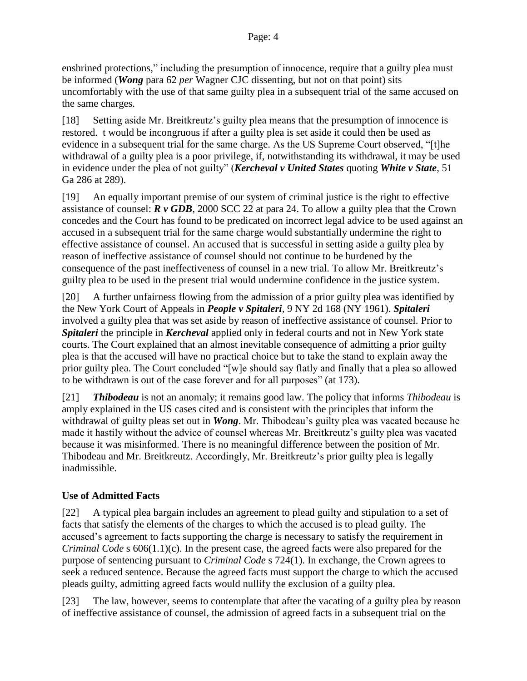enshrined protections," including the presumption of innocence, require that a guilty plea must be informed (*Wong* para 62 *per* Wagner CJC dissenting, but not on that point) sits uncomfortably with the use of that same guilty plea in a subsequent trial of the same accused on the same charges.

[18] Setting aside Mr. Breitkreutz's guilty plea means that the presumption of innocence is restored. t would be incongruous if after a guilty plea is set aside it could then be used as evidence in a subsequent trial for the same charge. As the US Supreme Court observed, "[t]he withdrawal of a guilty plea is a poor privilege, if, notwithstanding its withdrawal, it may be used in evidence under the plea of not guilty" (*Kercheval v United States* quoting *White v State*, 51 Ga 286 at 289).

[19] An equally important premise of our system of criminal justice is the right to effective assistance of counsel: *R v GDB*, 2000 SCC 22 at para 24. To allow a guilty plea that the Crown concedes and the Court has found to be predicated on incorrect legal advice to be used against an accused in a subsequent trial for the same charge would substantially undermine the right to effective assistance of counsel. An accused that is successful in setting aside a guilty plea by reason of ineffective assistance of counsel should not continue to be burdened by the consequence of the past ineffectiveness of counsel in a new trial. To allow Mr. Breitkreutz's guilty plea to be used in the present trial would undermine confidence in the justice system.

[20] A further unfairness flowing from the admission of a prior guilty plea was identified by the New York Court of Appeals in *People v Spitaleri,* 9 NY 2d 168 (NY 1961). *Spitaleri* involved a guilty plea that was set aside by reason of ineffective assistance of counsel. Prior to *Spitaleri* the principle in *Kercheval* applied only in federal courts and not in New York state courts. The Court explained that an almost inevitable consequence of admitting a prior guilty plea is that the accused will have no practical choice but to take the stand to explain away the prior guilty plea. The Court concluded "[w]e should say flatly and finally that a plea so allowed to be withdrawn is out of the case forever and for all purposes" (at 173).

[21] *Thibodeau* is not an anomaly; it remains good law. The policy that informs *Thibodeau* is amply explained in the US cases cited and is consistent with the principles that inform the withdrawal of guilty pleas set out in *Wong*. Mr. Thibodeau's guilty plea was vacated because he made it hastily without the advice of counsel whereas Mr. Breitkreutz's guilty plea was vacated because it was misinformed. There is no meaningful difference between the position of Mr. Thibodeau and Mr. Breitkreutz. Accordingly, Mr. Breitkreutz's prior guilty plea is legally inadmissible.

## **Use of Admitted Facts**

[22] A typical plea bargain includes an agreement to plead guilty and stipulation to a set of facts that satisfy the elements of the charges to which the accused is to plead guilty. The accused's agreement to facts supporting the charge is necessary to satisfy the requirement in *Criminal Code* s 606(1.1)(c). In the present case, the agreed facts were also prepared for the purpose of sentencing pursuant to *Criminal Code* s 724(1). In exchange, the Crown agrees to seek a reduced sentence. Because the agreed facts must support the charge to which the accused pleads guilty, admitting agreed facts would nullify the exclusion of a guilty plea.

[23] The law, however, seems to contemplate that after the vacating of a guilty plea by reason of ineffective assistance of counsel, the admission of agreed facts in a subsequent trial on the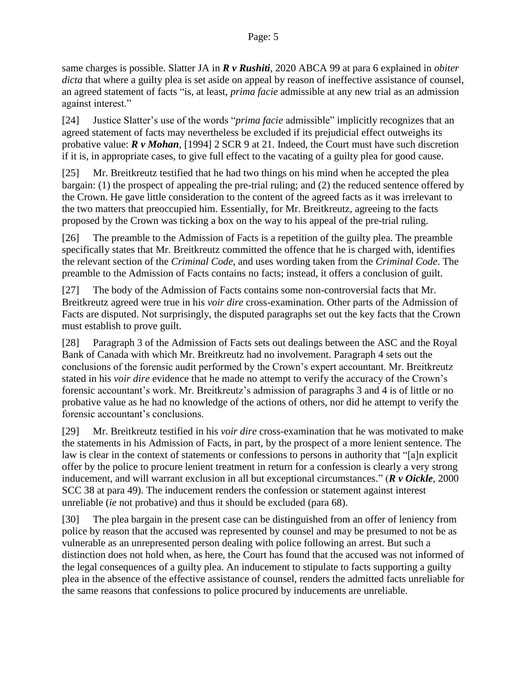same charges is possible. Slatter JA in *R v Rushiti*, 2020 ABCA 99 at para 6 explained in *obiter dicta* that where a guilty plea is set aside on appeal by reason of ineffective assistance of counsel, an agreed statement of facts "is, at least, *prima facie* admissible at any new trial as an admission against interest."

[24] Justice Slatter's use of the words "*prima facie* admissible" implicitly recognizes that an agreed statement of facts may nevertheless be excluded if its prejudicial effect outweighs its probative value: *R v Mohan*, [1994] 2 SCR 9 at 21. Indeed, the Court must have such discretion if it is, in appropriate cases, to give full effect to the vacating of a guilty plea for good cause.

[25] Mr. Breitkreutz testified that he had two things on his mind when he accepted the plea bargain: (1) the prospect of appealing the pre-trial ruling; and (2) the reduced sentence offered by the Crown. He gave little consideration to the content of the agreed facts as it was irrelevant to the two matters that preoccupied him. Essentially, for Mr. Breitkreutz, agreeing to the facts proposed by the Crown was ticking a box on the way to his appeal of the pre-trial ruling.

[26] The preamble to the Admission of Facts is a repetition of the guilty plea. The preamble specifically states that Mr. Breitkreutz committed the offence that he is charged with, identifies the relevant section of the *Criminal Code*, and uses wording taken from the *Criminal Code*. The preamble to the Admission of Facts contains no facts; instead, it offers a conclusion of guilt.

[27] The body of the Admission of Facts contains some non-controversial facts that Mr. Breitkreutz agreed were true in his *voir dire* cross-examination. Other parts of the Admission of Facts are disputed. Not surprisingly, the disputed paragraphs set out the key facts that the Crown must establish to prove guilt.

[28] Paragraph 3 of the Admission of Facts sets out dealings between the ASC and the Royal Bank of Canada with which Mr. Breitkreutz had no involvement. Paragraph 4 sets out the conclusions of the forensic audit performed by the Crown's expert accountant. Mr. Breitkreutz stated in his *voir dire* evidence that he made no attempt to verify the accuracy of the Crown's forensic accountant's work. Mr. Breitkreutz's admission of paragraphs 3 and 4 is of little or no probative value as he had no knowledge of the actions of others, nor did he attempt to verify the forensic accountant's conclusions.

[29] Mr. Breitkreutz testified in his *voir dire* cross-examination that he was motivated to make the statements in his Admission of Facts, in part, by the prospect of a more lenient sentence. The law is clear in the context of statements or confessions to persons in authority that "[a]n explicit offer by the police to procure lenient treatment in return for a confession is clearly a very strong inducement, and will warrant exclusion in all but exceptional circumstances." (*R v Oickle*, 2000 SCC 38 at para 49). The inducement renders the confession or statement against interest unreliable (*ie* not probative) and thus it should be excluded (para 68).

[30] The plea bargain in the present case can be distinguished from an offer of leniency from police by reason that the accused was represented by counsel and may be presumed to not be as vulnerable as an unrepresented person dealing with police following an arrest. But such a distinction does not hold when, as here, the Court has found that the accused was not informed of the legal consequences of a guilty plea. An inducement to stipulate to facts supporting a guilty plea in the absence of the effective assistance of counsel, renders the admitted facts unreliable for the same reasons that confessions to police procured by inducements are unreliable.